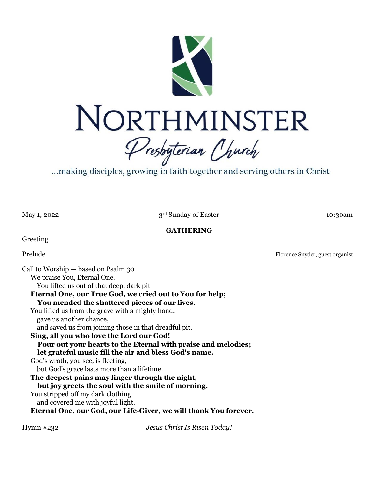

...making disciples, growing in faith together and serving others in Christ

May 1, 2022

3rd Sunday of Easter 10:30am

### **GATHERING**

Greeting

Prelude Florence Snyder, guest organist

Call to Worship — based on Psalm 30 We praise You, Eternal One. You lifted us out of that deep, dark pit **Eternal One, our True God, we cried out to You for help; You mended the shattered pieces of our lives.** You lifted us from the grave with a mighty hand, gave us another chance, and saved us from joining those in that dreadful pit. **Sing, all you who love the Lord our God! Pour out your hearts to the Eternal with praise and melodies; let grateful music fill the air and bless God's name.** God's wrath, you see, is fleeting, but God's grace lasts more than a lifetime. **The deepest pains may linger through the night, but joy greets the soul with the smile of morning.** You stripped off my dark clothing and covered me with joyful light. **Eternal One, our God, our Life-Giver, we will thank You forever.**

Hymn #232 *Jesus Christ Is Risen Today!*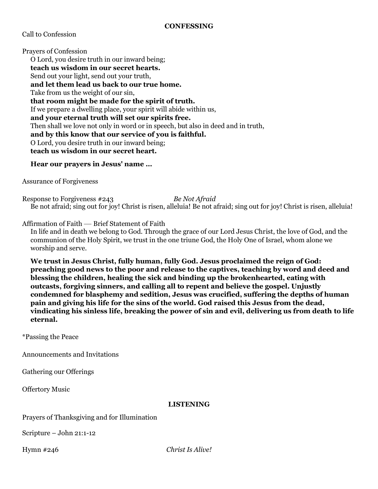Call to Confession

Prayers of Confession O Lord, you desire truth in our inward being; **teach us wisdom in our secret hearts.** Send out your light, send out your truth, **and let them lead us back to our true home.** Take from us the weight of our sin, **that room might be made for the spirit of truth.** If we prepare a dwelling place, your spirit will abide within us, **and your eternal truth will set our spirits free.** Then shall we love not only in word or in speech, but also in deed and in truth, **and by this know that our service of you is faithful.** O Lord, you desire truth in our inward being; **teach us wisdom in our secret heart.**

# **Hear our prayers in Jesus' name …**

Assurance of Forgiveness

Response to Forgiveness #243 *Be Not Afraid* Be not afraid; sing out for joy! Christ is risen, alleluia! Be not afraid; sing out for joy! Christ is risen, alleluia!

Affirmation of Faith — Brief Statement of Faith

In life and in death we belong to God. Through the grace of our Lord Jesus Christ, the love of God, and the communion of the Holy Spirit, we trust in the one triune God, the Holy One of Israel, whom alone we worship and serve.

**We trust in Jesus Christ, fully human, fully God. Jesus proclaimed the reign of God: preaching good news to the poor and release to the captives, teaching by word and deed and blessing the children, healing the sick and binding up the brokenhearted, eating with outcasts, forgiving sinners, and calling all to repent and believe the gospel. Unjustly condemned for blasphemy and sedition, Jesus was crucified, suffering the depths of human pain and giving his life for the sins of the world. God raised this Jesus from the dead, vindicating his sinless life, breaking the power of sin and evil, delivering us from death to life eternal.**

\*Passing the Peace

Announcements and Invitations

Gathering our Offerings

Offertory Music

### **LISTENING**

Prayers of Thanksgiving and for Illumination

Scripture – John 21:1-12

Hymn #246 *Christ Is Alive!*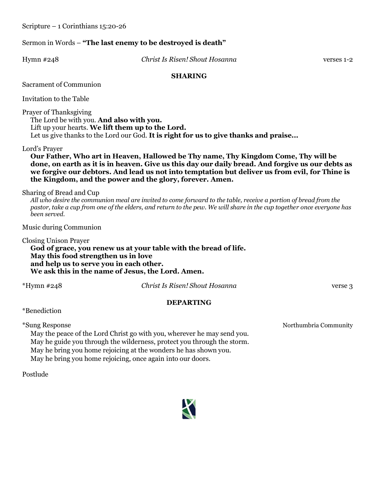Scripture – 1 Corinthians 15:20-26

# Sermon in Words – **"The last enemy to be destroyed is death"**

Hymn #248 *Christ Is Risen! Shout Hosanna* verses 1-2

# **SHARING**

Sacrament of Communion

Invitation to the Table

Prayer of Thanksgiving

The Lord be with you. **And also with you.**  Lift up your hearts. **We lift them up to the Lord.**  Let us give thanks to the Lord our God. **It is right for us to give thanks and praise...** 

Lord's Prayer

**Our Father, Who art in Heaven, Hallowed be Thy name, Thy Kingdom Come, Thy will be done, on earth as it is in heaven. Give us this day our daily bread. And forgive us our debts as we forgive our debtors. And lead us not into temptation but deliver us from evil, for Thine is the Kingdom, and the power and the glory, forever. Amen.** 

Sharing of Bread and Cup

*All who desire the communion meal are invited to come forward to the table, receive a portion of bread from the pastor, take a cup from one of the elders, and return to the pew. We will share in the cup together once everyone has been served.* 

Music during Communion

Closing Unison Prayer **God of grace, you renew us at your table with the bread of life. May this food strengthen us in love and help us to serve you in each other. We ask this in the name of Jesus, the Lord. Amen.**

\*Hymn #248 *Christ Is Risen! Shout Hosanna* verse 3

# **DEPARTING**

\*Benediction

May the peace of the Lord Christ go with you, wherever he may send you. May he guide you through the wilderness, protect you through the storm. May he bring you home rejoicing at the wonders he has shown you. May he bring you home rejoicing, once again into our doors.

Postlude



\*Sung Response Northumbria Community